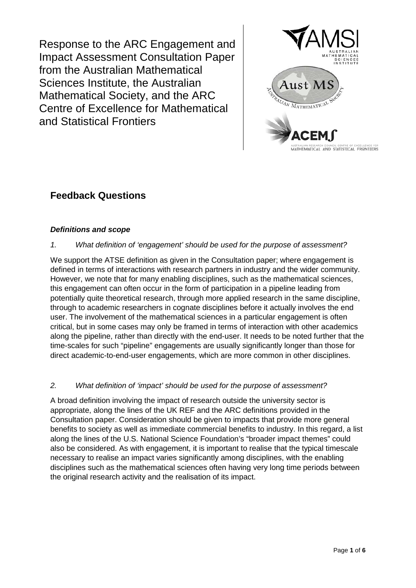Response to the ARC Engagement and Impact Assessment Consultation Paper from the Australian Mathematical Sciences Institute, the Australian Mathematical Society, and the ARC Centre of Excellence for Mathematical and Statistical Frontiers



# **Feedback Questions**

# *Definitions and scope*

## *1. What definition of 'engagement' should be used for the purpose of assessment?*

We support the ATSE definition as given in the Consultation paper; where engagement is defined in terms of interactions with research partners in industry and the wider community. However, we note that for many enabling disciplines, such as the mathematical sciences, this engagement can often occur in the form of participation in a pipeline leading from potentially quite theoretical research, through more applied research in the same discipline, through to academic researchers in cognate disciplines before it actually involves the end user. The involvement of the mathematical sciences in a particular engagement is often critical, but in some cases may only be framed in terms of interaction with other academics along the pipeline, rather than directly with the end-user. It needs to be noted further that the time-scales for such "pipeline" engagements are usually significantly longer than those for direct academic-to-end-user engagements, which are more common in other disciplines.

## *2. What definition of 'impact' should be used for the purpose of assessment?*

A broad definition involving the impact of research outside the university sector is appropriate, along the lines of the UK REF and the ARC definitions provided in the Consultation paper. Consideration should be given to impacts that provide more general benefits to society as well as immediate commercial benefits to industry. In this regard, a list along the lines of the U.S. National Science Foundation's "broader impact themes" could also be considered. As with engagement, it is important to realise that the typical timescale necessary to realise an impact varies significantly among disciplines, with the enabling disciplines such as the mathematical sciences often having very long time periods between the original research activity and the realisation of its impact.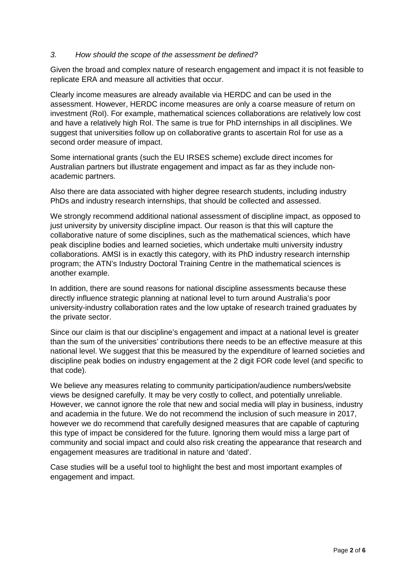#### *3. How should the scope of the assessment be defined?*

Given the broad and complex nature of research engagement and impact it is not feasible to replicate ERA and measure all activities that occur.

Clearly income measures are already available via HERDC and can be used in the assessment. However, HERDC income measures are only a coarse measure of return on investment (RoI). For example, mathematical sciences collaborations are relatively low cost and have a relatively high RoI. The same is true for PhD internships in all disciplines. We suggest that universities follow up on collaborative grants to ascertain RoI for use as a second order measure of impact.

Some international grants (such the EU IRSES scheme) exclude direct incomes for Australian partners but illustrate engagement and impact as far as they include nonacademic partners.

Also there are data associated with higher degree research students, including industry PhDs and industry research internships, that should be collected and assessed.

We strongly recommend additional national assessment of discipline impact, as opposed to just university by university discipline impact. Our reason is that this will capture the collaborative nature of some disciplines, such as the mathematical sciences, which have peak discipline bodies and learned societies, which undertake multi university industry collaborations. AMSI is in exactly this category, with its PhD industry research internship program; the ATN's Industry Doctoral Training Centre in the mathematical sciences is another example.

In addition, there are sound reasons for national discipline assessments because these directly influence strategic planning at national level to turn around Australia's poor university-industry collaboration rates and the low uptake of research trained graduates by the private sector.

Since our claim is that our discipline's engagement and impact at a national level is greater than the sum of the universities' contributions there needs to be an effective measure at this national level. We suggest that this be measured by the expenditure of learned societies and discipline peak bodies on industry engagement at the 2 digit FOR code level (and specific to that code).

We believe any measures relating to community participation/audience numbers/website views be designed carefully. It may be very costly to collect, and potentially unreliable. However, we cannot ignore the role that new and social media will play in business, industry and academia in the future. We do not recommend the inclusion of such measure in 2017, however we do recommend that carefully designed measures that are capable of capturing this type of impact be considered for the future. Ignoring them would miss a large part of community and social impact and could also risk creating the appearance that research and engagement measures are traditional in nature and 'dated'.

Case studies will be a useful tool to highlight the best and most important examples of engagement and impact.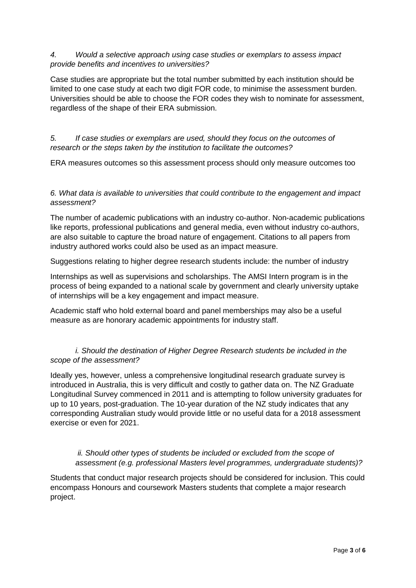#### *4. Would a selective approach using case studies or exemplars to assess impact provide benefits and incentives to universities?*

Case studies are appropriate but the total number submitted by each institution should be limited to one case study at each two digit FOR code, to minimise the assessment burden. Universities should be able to choose the FOR codes they wish to nominate for assessment, regardless of the shape of their ERA submission.

## *5. If case studies or exemplars are used, should they focus on the outcomes of research or the steps taken by the institution to facilitate the outcomes?*

ERA measures outcomes so this assessment process should only measure outcomes too

## *6. What data is available to universities that could contribute to the engagement and impact assessment?*

The number of academic publications with an industry co-author. Non-academic publications like reports, professional publications and general media, even without industry co-authors, are also suitable to capture the broad nature of engagement. Citations to all papers from industry authored works could also be used as an impact measure.

Suggestions relating to higher degree research students include: the number of industry

Internships as well as supervisions and scholarships. The AMSI Intern program is in the process of being expanded to a national scale by government and clearly university uptake of internships will be a key engagement and impact measure.

Academic staff who hold external board and panel memberships may also be a useful measure as are honorary academic appointments for industry staff.

## *i. Should the destination of Higher Degree Research students be included in the scope of the assessment?*

Ideally yes, however, unless a comprehensive longitudinal research graduate survey is introduced in Australia, this is very difficult and costly to gather data on. The NZ Graduate Longitudinal Survey commenced in 2011 and is attempting to follow university graduates for up to 10 years, post-graduation. The 10-year duration of the NZ study indicates that any corresponding Australian study would provide little or no useful data for a 2018 assessment exercise or even for 2021.

## *ii. Should other types of students be included or excluded from the scope of assessment (e.g. professional Masters level programmes, undergraduate students)?*

Students that conduct major research projects should be considered for inclusion. This could encompass Honours and coursework Masters students that complete a major research project.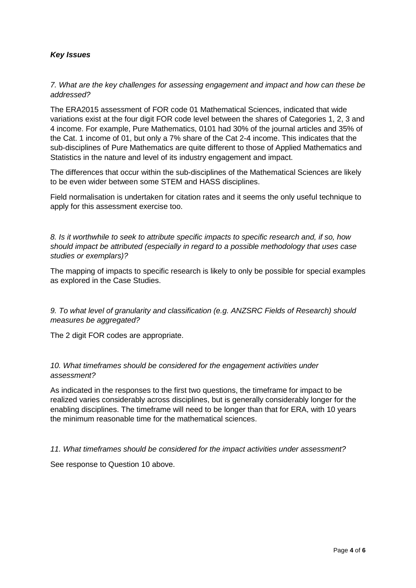## *Key Issues*

## *7. What are the key challenges for assessing engagement and impact and how can these be addressed?*

The ERA2015 assessment of FOR code 01 Mathematical Sciences, indicated that wide variations exist at the four digit FOR code level between the shares of Categories 1, 2, 3 and 4 income. For example, Pure Mathematics, 0101 had 30% of the journal articles and 35% of the Cat. 1 income of 01, but only a 7% share of the Cat 2-4 income. This indicates that the sub-disciplines of Pure Mathematics are quite different to those of Applied Mathematics and Statistics in the nature and level of its industry engagement and impact.

The differences that occur within the sub-disciplines of the Mathematical Sciences are likely to be even wider between some STEM and HASS disciplines.

Field normalisation is undertaken for citation rates and it seems the only useful technique to apply for this assessment exercise too.

*8. Is it worthwhile to seek to attribute specific impacts to specific research and, if so, how should impact be attributed (especially in regard to a possible methodology that uses case studies or exemplars)?* 

The mapping of impacts to specific research is likely to only be possible for special examples as explored in the Case Studies.

*9. To what level of granularity and classification (e.g. ANZSRC Fields of Research) should measures be aggregated?* 

The 2 digit FOR codes are appropriate.

*10. What timeframes should be considered for the engagement activities under assessment?* 

As indicated in the responses to the first two questions, the timeframe for impact to be realized varies considerably across disciplines, but is generally considerably longer for the enabling disciplines. The timeframe will need to be longer than that for ERA, with 10 years the minimum reasonable time for the mathematical sciences.

*11. What timeframes should be considered for the impact activities under assessment?* 

See response to Question 10 above.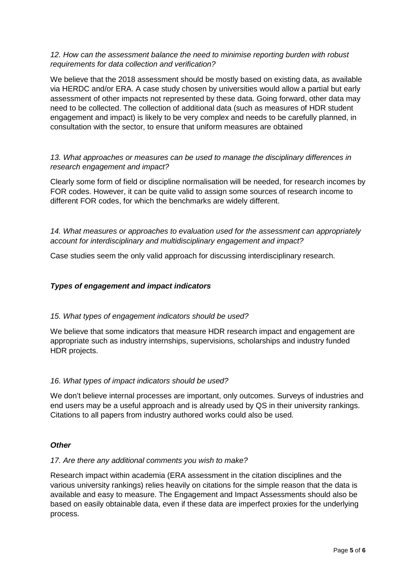## *12. How can the assessment balance the need to minimise reporting burden with robust requirements for data collection and verification?*

We believe that the 2018 assessment should be mostly based on existing data, as available via HERDC and/or ERA. A case study chosen by universities would allow a partial but early assessment of other impacts not represented by these data. Going forward, other data may need to be collected. The collection of additional data (such as measures of HDR student engagement and impact) is likely to be very complex and needs to be carefully planned, in consultation with the sector, to ensure that uniform measures are obtained

## *13. What approaches or measures can be used to manage the disciplinary differences in research engagement and impact?*

Clearly some form of field or discipline normalisation will be needed, for research incomes by FOR codes. However, it can be quite valid to assign some sources of research income to different FOR codes, for which the benchmarks are widely different.

*14. What measures or approaches to evaluation used for the assessment can appropriately account for interdisciplinary and multidisciplinary engagement and impact?*

Case studies seem the only valid approach for discussing interdisciplinary research.

## *Types of engagement and impact indicators*

## *15. What types of engagement indicators should be used?*

We believe that some indicators that measure HDR research impact and engagement are appropriate such as industry internships, supervisions, scholarships and industry funded HDR projects.

## *16. What types of impact indicators should be used?*

We don't believe internal processes are important, only outcomes. Surveys of industries and end users may be a useful approach and is already used by QS in their university rankings. Citations to all papers from industry authored works could also be used.

#### *Other*

#### *17. Are there any additional comments you wish to make?*

Research impact within academia (ERA assessment in the citation disciplines and the various university rankings) relies heavily on citations for the simple reason that the data is available and easy to measure. The Engagement and Impact Assessments should also be based on easily obtainable data, even if these data are imperfect proxies for the underlying process.